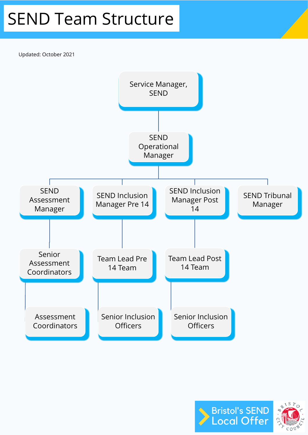## SEND Team Structure

Updated: October 2021